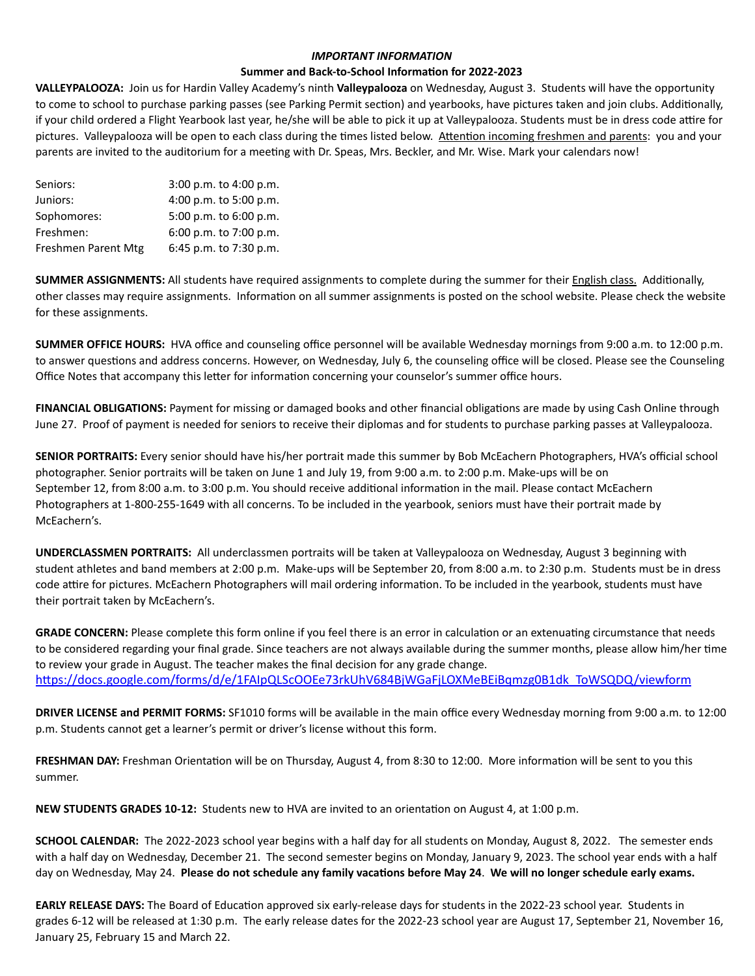## *IMPORTANT INFORMATION*

### **Summer and Back-to-School Information for 2022-2023**

**VALLEYPALOOZA:** Join us for Hardin Valley Academy's ninth **Valleypalooza** on Wednesday, August 3. Students will have the opportunity to come to school to purchase parking passes (see Parking Permit section) and yearbooks, have pictures taken and join clubs. Additionally, if your child ordered a Flight Yearbook last year, he/she will be able to pick it up at Valleypalooza. Students must be in dress code attire for pictures. Valleypalooza will be open to each class during the times listed below. Attention incoming freshmen and parents: you and your parents are invited to the auditorium for a meeting with Dr. Speas, Mrs. Beckler, and Mr. Wise. Mark your calendars now!

| Seniors:            | 3:00 p.m. to 4:00 p.m.     |
|---------------------|----------------------------|
| Juniors:            | 4:00 p.m. to 5:00 p.m.     |
| Sophomores:         | 5:00 p.m. to 6:00 p.m.     |
| Freshmen:           | $6:00$ p.m. to $7:00$ p.m. |
| Freshmen Parent Mtg | 6:45 p.m. to 7:30 p.m.     |

**SUMMER ASSIGNMENTS:** All students have required assignments to complete during the summer for their English class. Additionally, other classes may require assignments. Information on all summer assignments is posted on the school website. Please check the website for these assignments.

**SUMMER OFFICE HOURS:** HVA office and counseling office personnel will be available Wednesday mornings from 9:00 a.m. to 12:00 p.m. to answer questions and address concerns. However, on Wednesday, July 6, the counseling office will be closed. Please see the Counseling Office Notes that accompany this letter for information concerning your counselor's summer office hours.

**FINANCIAL OBLIGATIONS:** Payment for missing or damaged books and other financial obligations are made by using Cash Online through June 27. Proof of payment is needed for seniors to receive their diplomas and for students to purchase parking passes at Valleypalooza.

**SENIOR PORTRAITS:** Every senior should have his/her portrait made this summer by Bob McEachern Photographers, HVA's official school photographer. Senior portraits will be taken on June 1 and July 19, from 9:00 a.m. to 2:00 p.m. Make-ups will be on September 12, from 8:00 a.m. to 3:00 p.m. You should receive additional information in the mail. Please contact McEachern Photographers at 1-800-255-1649 with all concerns. To be included in the yearbook, seniors must have their portrait made by McEachern's.

**UNDERCLASSMEN PORTRAITS:** All underclassmen portraits will be taken at Valleypalooza on Wednesday, August 3 beginning with student athletes and band members at 2:00 p.m. Make-ups will be September 20, from 8:00 a.m. to 2:30 p.m. Students must be in dress code attire for pictures. McEachern Photographers will mail ordering information. To be included in the yearbook, students must have their portrait taken by McEachern's.

**GRADE CONCERN:** Please complete this form online if you feel there is an error in calculation or an extenuating circumstance that needs to be considered regarding your final grade. Since teachers are not always available during the summer months, please allow him/her time to review your grade in August. The teacher makes the final decision for any grade change. [https://docs.google.com/forms/d/e/1FAIpQLScOOEe73rkUhV684BjWGaFjLOXMeBEiBqmzg0B1dk\\_ToWSQDQ/viewform](https://nam11.safelinks.protection.outlook.com/?url=https%253A%252F%252Fdocs.google.com%252Fforms%252Fd%252Fe%252F1FAIpQLScOOEe73rkUhV684BjWGaFjLOXMeBEiBqmzg0B1dk_ToWSQDQ%252Fviewform&data=04%257C01%257Clisa.smith%2540knoxschools.org%257C603db8fbda1b4d6d6f2908d91eeb6f46%257Ca2c165ce3db24317b7428b26460ec108%257C0%257C0%257C637574818800852310%257CUnknown%257CTWFpbGZsb3d8eyJWIjoiMC4wLjAwMDAiLCJQIjoiV2luMzIiLCJBTiI6Ik1haWwiLCJXVCI6Mn0%253D%257C1000&sdata=oqFeqy6HF9TJWEXC4mNHq4uY8mi7X%252FS8vvJcF%252F2%252BcJ8%253D&reserved=0)

**DRIVER LICENSE and PERMIT FORMS:** SF1010 forms will be available in the main office every Wednesday morning from 9:00 a.m. to 12:00 p.m. Students cannot get a learner's permit or driver's license without this form.

**FRESHMAN DAY:** Freshman Orientation will be on Thursday, August 4, from 8:30 to 12:00. More information will be sent to you this summer.

**NEW STUDENTS GRADES 10-12:** Students new to HVA are invited to an orientation on August 4, at 1:00 p.m.

**SCHOOL CALENDAR:** The 2022-2023 school year begins with a half day for all students on Monday, August 8, 2022. The semester ends with a half day on Wednesday, December 21. The second semester begins on Monday, January 9, 2023. The school year ends with a half day on Wednesday, May 24. **Please do not schedule any family vacations before May 24**. **We will no longer schedule early exams.** 

**EARLY RELEASE DAYS:** The Board of Education approved six early-release days for students in the 2022-23 school year. Students in grades 6-12 will be released at 1:30 p.m. The early release dates for the 2022-23 school year are August 17, September 21, November 16, January 25, February 15 and March 22.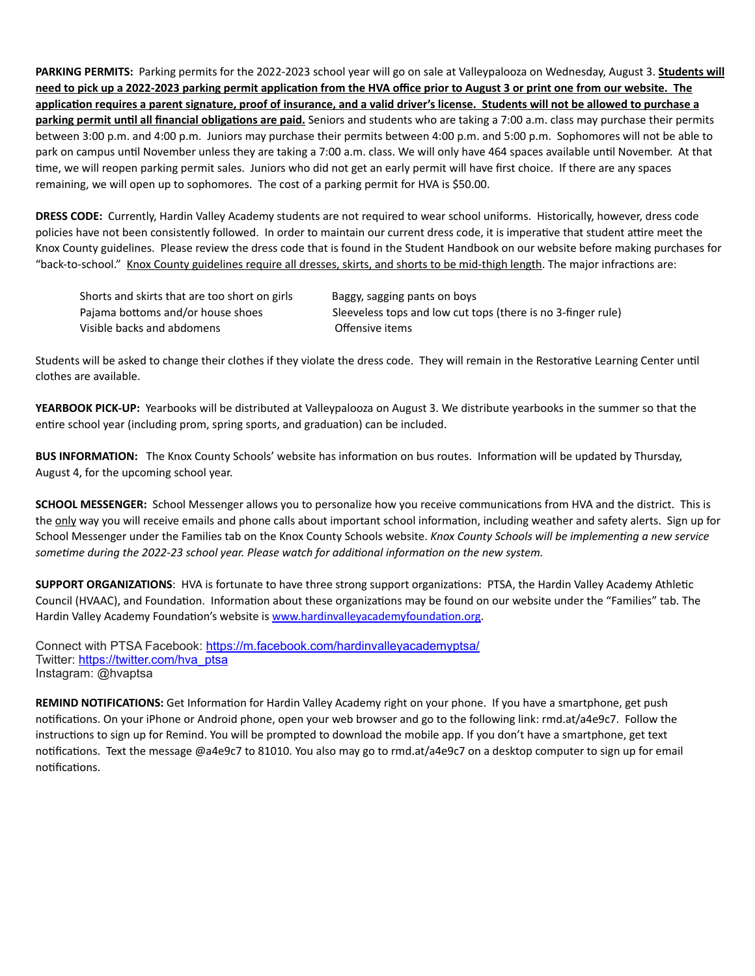**PARKING PERMITS:** Parking permits for the 2022-2023 school year will go on sale at Valleypalooza on Wednesday, August 3. **Students will need to pick up a 2022-2023 parking permit application from the HVA office prior to August 3 or print one from our website. The application requires a parent signature, proof of insurance, and a valid driver's license. Students will not be allowed to purchase a parking permit until all financial obligations are paid.** Seniors and students who are taking a 7:00 a.m. class may purchase their permits between 3:00 p.m. and 4:00 p.m. Juniors may purchase their permits between 4:00 p.m. and 5:00 p.m. Sophomores will not be able to park on campus until November unless they are taking a 7:00 a.m. class. We will only have 464 spaces available until November. At that time, we will reopen parking permit sales. Juniors who did not get an early permit will have first choice. If there are any spaces remaining, we will open up to sophomores. The cost of a parking permit for HVA is \$50.00.

**DRESS CODE:** Currently, Hardin Valley Academy students are not required to wear school uniforms. Historically, however, dress code policies have not been consistently followed. In order to maintain our current dress code, it is imperative that student attire meet the Knox County guidelines. Please review the dress code that is found in the Student Handbook on our website before making purchases for "back-to-school." Knox County guidelines require all dresses, skirts, and shorts to be mid-thigh length. The major infractions are:

| Shorts and skirts that are too short on girls | Baggy, sagging pants on boys                                 |
|-----------------------------------------------|--------------------------------------------------------------|
| Pajama bottoms and/or house shoes             | Sleeveless tops and low cut tops (there is no 3-finger rule) |
| Visible backs and abdomens                    | Offensive items                                              |

Students will be asked to change their clothes if they violate the dress code. They will remain in the Restorative Learning Center until clothes are available.

**YEARBOOK PICK-UP:** Yearbooks will be distributed at Valleypalooza on August 3. We distribute yearbooks in the summer so that the entire school year (including prom, spring sports, and graduation) can be included.

**BUS INFORMATION:** The Knox County Schools' website has information on bus routes. Information will be updated by Thursday, August 4, for the upcoming school year.

**SCHOOL MESSENGER:** School Messenger allows you to personalize how you receive communications from HVA and the district. This is the only way you will receive emails and phone calls about important school information, including weather and safety alerts. Sign up for School Messenger under the Families tab on the Knox County Schools website. *Knox County Schools will be implementing a new service sometime during the 2022-23 school year. Please watch for additional information on the new system.*

**SUPPORT ORGANIZATIONS**: HVA is fortunate to have three strong support organizations: PTSA, the Hardin Valley Academy Athletic Council (HVAAC), and Foundation. Information about these organizations may be found on our website under the "Families" tab. The Hardin Valley Academy Foundation's website is [www.hardinvalleyacademyfoundation.org](http://www.hardinvalleyacademyfoundation.org).

Connect with PTSA Facebook: [https://m.facebook.com/hardinvalleyacademyptsa/](https://www.facebook.com/hardinvalleyacademyptsa/) Twitter: [https://twitter.com/hva\\_ptsa](https://twitter.com/hva_ptsa) Instagram: @hvaptsa

**REMIND NOTIFICATIONS:** Get Information for Hardin Valley Academy right on your phone. If you have a smartphone, get push notifications. On your iPhone or Android phone, open your web browser and go to the following link: rmd.at/a4e9c7. Follow the instructions to sign up for Remind. You will be prompted to download the mobile app. If you don't have a smartphone, get text notifications. Text the message @a4e9c7 to 81010. You also may go to rmd.at/a4e9c7 on a desktop computer to sign up for email notifications.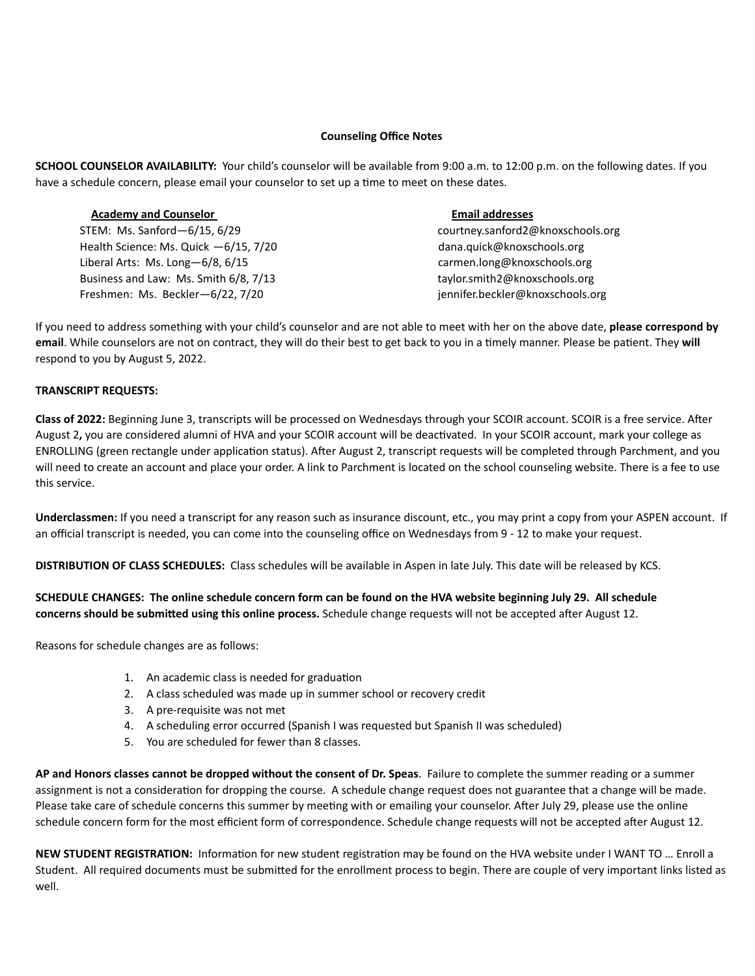## **Counseling Office Notes**

**SCHOOL COUNSELOR AVAILABILITY:** Your child's counselor will be available from 9:00 a.m. to 12:00 p.m. on the following dates. If you have a schedule concern, please email your counselor to set up a time to meet on these dates.

## **Academy and Counselor Email addresses**

STEM: Ms. Sanford—6/15, 6/29 courtney.sanford2@knoxschools.org Health Science: Ms. Quick  $-6/15$ , 7/20 dana.quick@knoxschools.org Liberal Arts: Ms. Long-6/8, 6/15 carmen.long@knoxschools.org Business and Law: Ms. Smith 6/8, 7/13 taylor.smith2@knoxschools.org Freshmen: Ms. Beckler—6/22, 7/20 iennifer.beckler@knoxschools.org

If you need to address something with your child's counselor and are not able to meet with her on the above date, **please correspond by email**. While counselors are not on contract, they will do their best to get back to you in a timely manner. Please be patient. They **will** respond to you by August 5, 2022.

## **TRANSCRIPT REQUESTS:**

**Class of 2022:** Beginning June 3, transcripts will be processed on Wednesdays through your SCOIR account. SCOIR is a free service. After August 2**,** you are considered alumni of HVA and your SCOIR account will be deactivated. In your SCOIR account, mark your college as ENROLLING (green rectangle under application status). After August 2, transcript requests will be completed through Parchment, and you will need to create an account and place your order. A link to Parchment is located on the school counseling website. There is a fee to use this service.

**Underclassmen:** If you need a transcript for any reason such as insurance discount, etc., you may print a copy from your ASPEN account. If an official transcript is needed, you can come into the counseling office on Wednesdays from 9 - 12 to make your request.

**DISTRIBUTION OF CLASS SCHEDULES:** Class schedules will be available in Aspen in late July. This date will be released by KCS.

**SCHEDULE CHANGES: The online schedule concern form can be found on the HVA website beginning July 29. All schedule concerns should be submitted using this online process.** Schedule change requests will not be accepted after August 12.

Reasons for schedule changes are as follows:

- 1. An academic class is needed for graduation
- 2. A class scheduled was made up in summer school or recovery credit
- 3. A pre-requisite was not met
- 4. A scheduling error occurred (Spanish I was requested but Spanish II was scheduled)
- 5. You are scheduled for fewer than 8 classes.

**AP and Honors classes cannot be dropped without the consent of Dr. Speas**. Failure to complete the summer reading or a summer assignment is not a consideration for dropping the course. A schedule change request does not guarantee that a change will be made. Please take care of schedule concerns this summer by meeting with or emailing your counselor. After July 29, please use the online schedule concern form for the most efficient form of correspondence. Schedule change requests will not be accepted after August 12.

**NEW STUDENT REGISTRATION:** Information for new student registration may be found on the HVA website under I WANT TO … Enroll a Student. All required documents must be submitted for the enrollment process to begin. There are couple of very important links listed as well.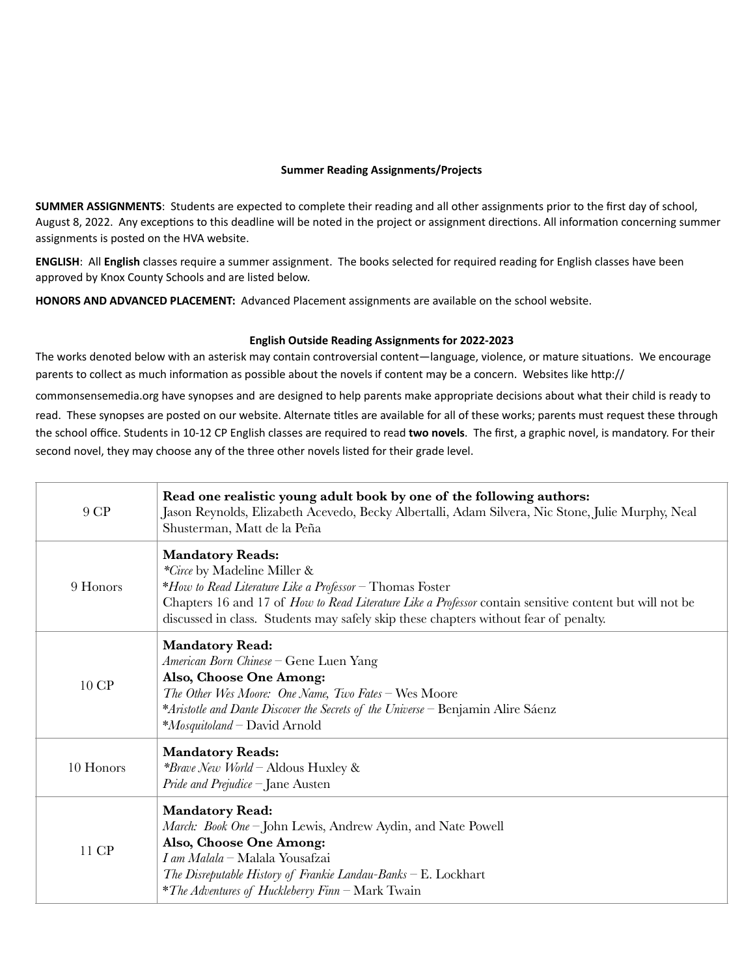# **Summer Reading Assignments/Projects**

**SUMMER ASSIGNMENTS**: Students are expected to complete their reading and all other assignments prior to the first day of school, August 8, 2022. Any exceptions to this deadline will be noted in the project or assignment directions. All information concerning summer assignments is posted on the HVA website.

**ENGLISH**: All **English** classes require a summer assignment. The books selected for required reading for English classes have been approved by Knox County Schools and are listed below.

**HONORS AND ADVANCED PLACEMENT:** Advanced Placement assignments are available on the school website.

## **English Outside Reading Assignments for 2022-2023**

The works denoted below with an asterisk may contain controversial content—language, violence, or mature situations. We encourage parents to collect as much information as possible about the novels if content may be a concern. Websites like http:// commonsensemedia.org have synopses and are designed to help parents make appropriate decisions about what their child is ready to read. These synopses are posted on our website. Alternate titles are available for all of these works; parents must request these through

the school office. Students in 10-12 CP English classes are required to read **two novels**. The first, a graphic novel, is mandatory. For their second novel, they may choose any of the three other novels listed for their grade level.

| 9 CP      | Read one realistic young adult book by one of the following authors:<br>Jason Reynolds, Elizabeth Acevedo, Becky Albertalli, Adam Silvera, Nic Stone, Julie Murphy, Neal<br>Shusterman, Matt de la Peña                                                                                                               |
|-----------|-----------------------------------------------------------------------------------------------------------------------------------------------------------------------------------------------------------------------------------------------------------------------------------------------------------------------|
| 9 Honors  | <b>Mandatory Reads:</b><br>*Circe by Madeline Miller &<br>*How to Read Literature Like a Professor – Thomas Foster<br>Chapters 16 and 17 of How to Read Literature Like a Professor contain sensitive content but will not be<br>discussed in class. Students may safely skip these chapters without fear of penalty. |
| 10 CP     | <b>Mandatory Read:</b><br>American Born Chinese - Gene Luen Yang<br>Also, Choose One Among:<br>The Other Wes Moore: One Name, Two Fates - Wes Moore<br>*Aristotle and Dante Discover the Secrets of the Universe – Benjamin Alire Sáenz<br>*Mosquitoland - David Arnold                                               |
| 10 Honors | <b>Mandatory Reads:</b><br><i>*Brave New World</i> – Aldous Huxley &<br><i>Pride and Prejudice</i> $-$ Jane Austen                                                                                                                                                                                                    |
| 11 CP     | <b>Mandatory Read:</b><br>March: Book One - John Lewis, Andrew Aydin, and Nate Powell<br>Also, Choose One Among:<br>I am Malala - Malala Yousafzai<br>The Disreputable History of Frankie Landau-Banks – E. Lockhart<br><i>*The Adventures of Huckleberry Finn</i> $-\text{Mark Twain}$                               |